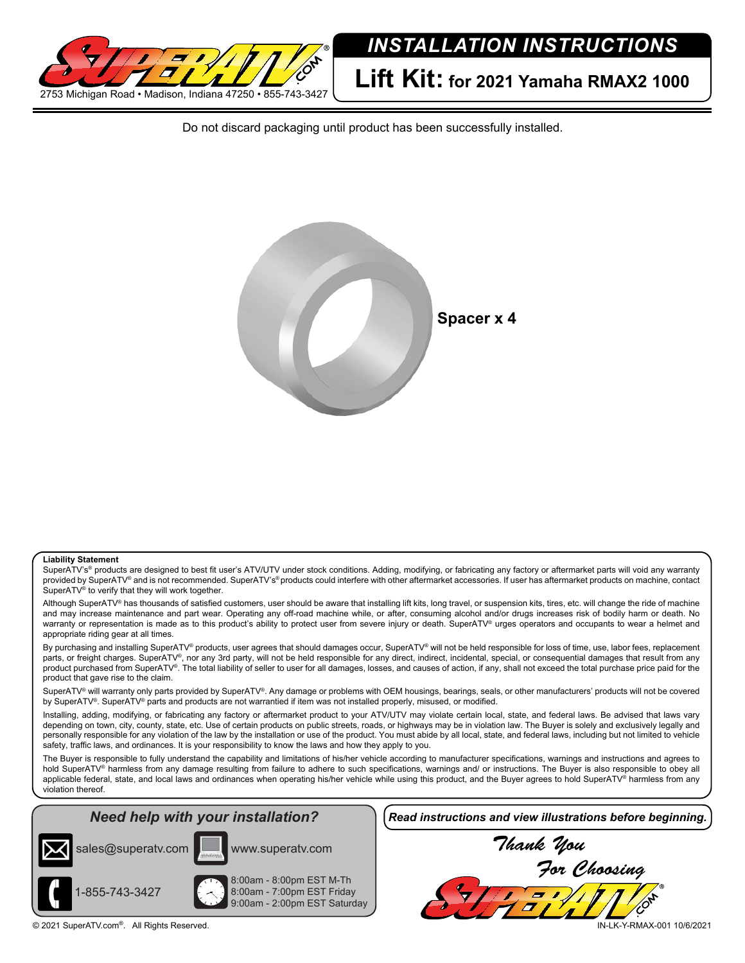

Do not discard packaging until product has been successfully installed.



## **Liability Statement**

SuperATV's® products are designed to best fit user's ATV/UTV under stock conditions. Adding, modifying, or fabricating any factory or aftermarket parts will void any warranty provided by SuperATV® and is not recommended. SuperATV's® products could interfere with other aftermarket accessories. If user has aftermarket products on machine, contact SuperATV® to verify that they will work together.

Although SuperATV® has thousands of satisfied customers, user should be aware that installing lift kits, long travel, or suspension kits, tires, etc. will change the ride of machine and may increase maintenance and part wear. Operating any off-road machine while, or after, consuming alcohol and/or drugs increases risk of bodily harm or death. No warranty or representation is made as to this product's ability to protect user from severe injury or death. SuperATV® urges operators and occupants to wear a helmet and appropriate riding gear at all times.

By purchasing and installing SuperATV® products, user agrees that should damages occur, SuperATV® will not be held responsible for loss of time, use, labor fees, replacement parts, or freight charges. SuperATV®, nor any 3rd party, will not be held responsible for any direct, indirect, incidental, special, or consequential damages that result from any product purchased from SuperATV®. The total liability of seller to user for all damages, losses, and causes of action, if any, shall not exceed the total purchase price paid for the product that gave rise to the claim.

SuperATV<sup>®</sup> will warranty only parts provided by SuperATV<sup>®</sup>. Any damage or problems with OEM housings, bearings, seals, or other manufacturers' products will not be covered by SuperATV®. SuperATV® parts and products are not warrantied if item was not installed properly, misused, or modified.

Installing, adding, modifying, or fabricating any factory or aftermarket product to your ATV/UTV may violate certain local, state, and federal laws. Be advised that laws vary depending on town, city, county, state, etc. Use of certain products on public streets, roads, or highways may be in violation law. The Buyer is solely and exclusively legally and personally responsible for any violation of the law by the installation or use of the product. You must abide by all local, state, and federal laws, including but not limited to vehicle safety, traffic laws, and ordinances. It is your responsibility to know the laws and how they apply to you.

The Buyer is responsible to fully understand the capability and limitations of his/her vehicle according to manufacturer specifications, warnings and instructions and agrees to hold SuperATV<sup>®</sup> harmless from any damage resulting from failure to adhere to such specifications, warnings and/ or instructions. The Buyer is also responsible to obey all applicable federal, state, and local laws and ordinances when operating his/her vehicle while using this product, and the Buyer agrees to hold SuperATV® harmless from any violation thereof.

## *Need help with your installation?*





www.superatv.com

8:00am - 8:00pm EST M-Th 8:00am - 7:00pm EST Friday 9:00am - 2:00pm EST Saturday *Read instructions and view illustrations before beginning.*

*Thank You For Choosing*

© 2021 SuperATV.com®. All Rights Reserved. IN-LK-Y-RMAX-001 10/6/2021

1-855-743-3427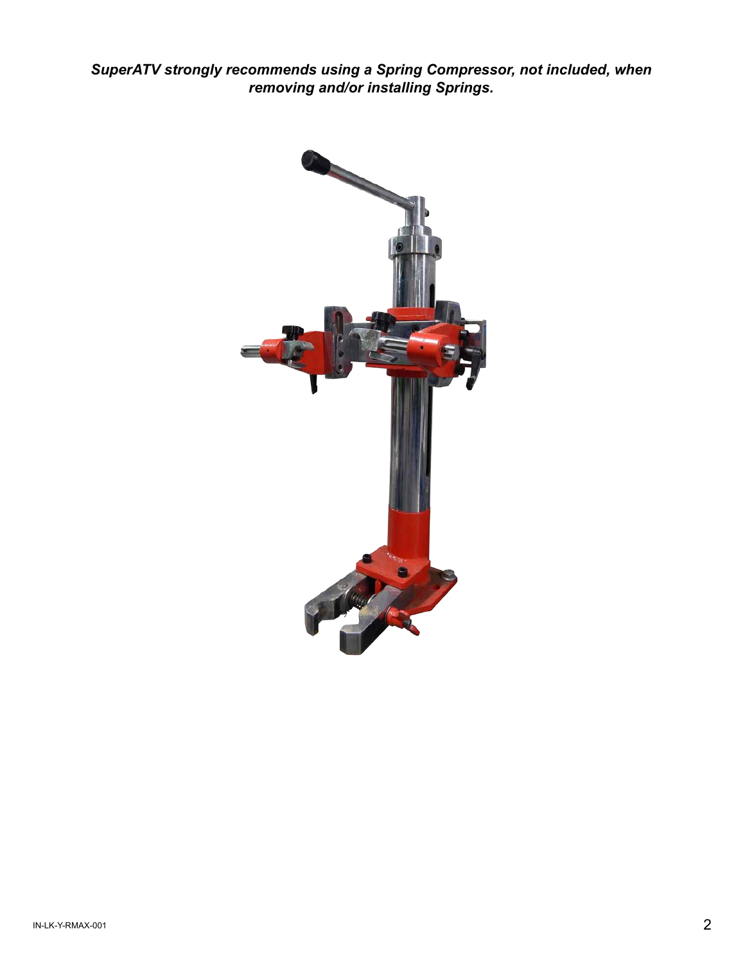*SuperATV strongly recommends using a Spring Compressor, not included, when removing and/or installing Springs.*

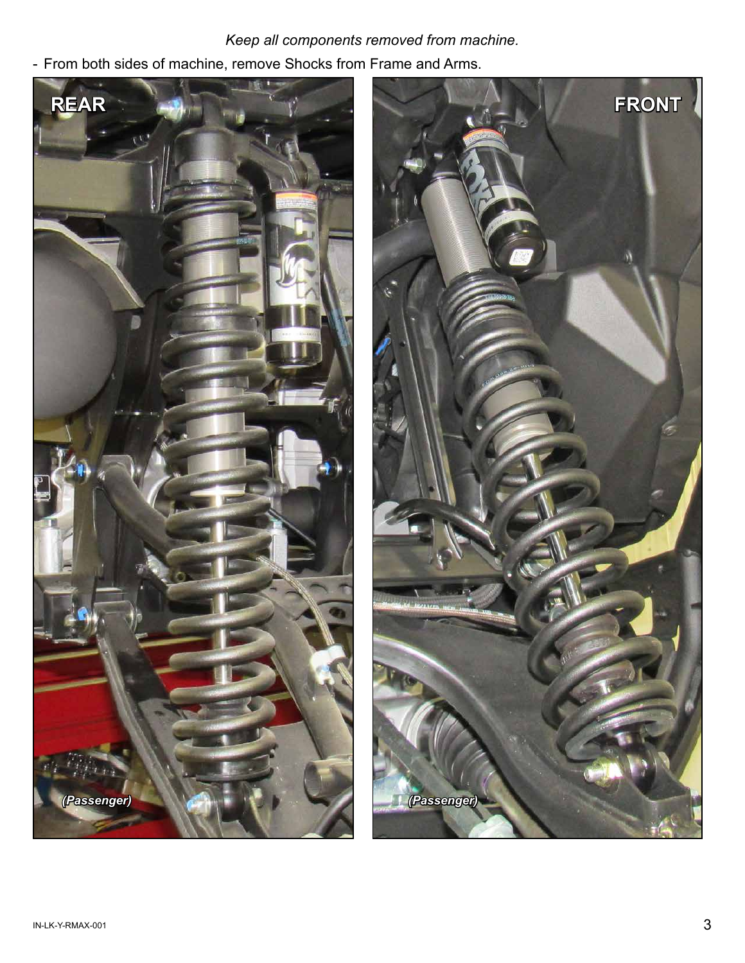## *Keep all components removed from machine.*

- From both sides of machine, remove Shocks from Frame and Arms.



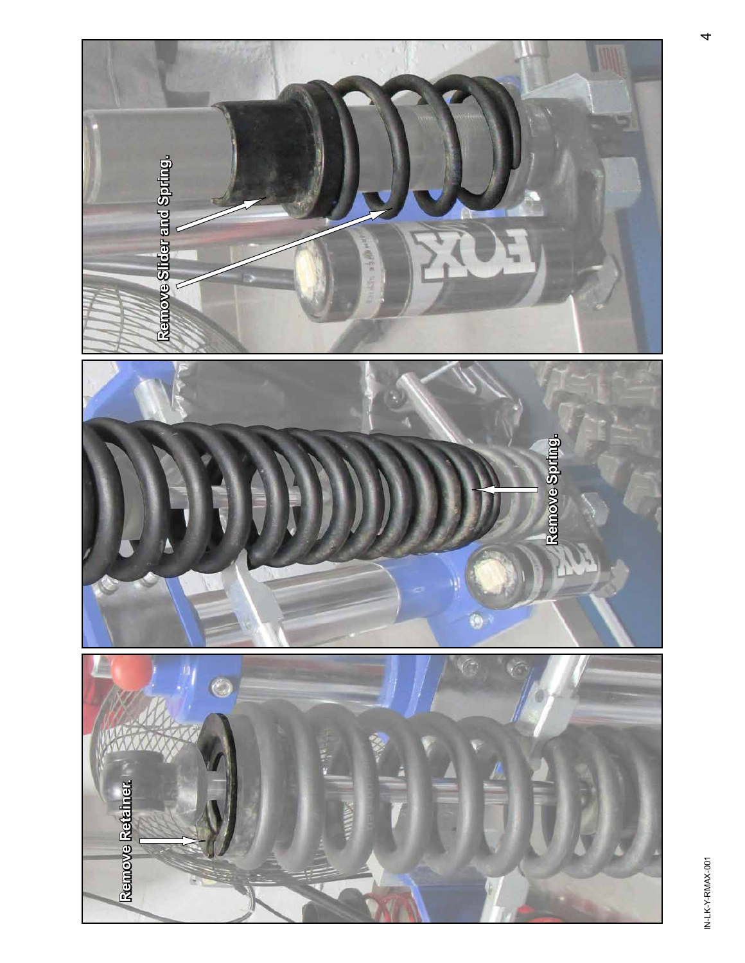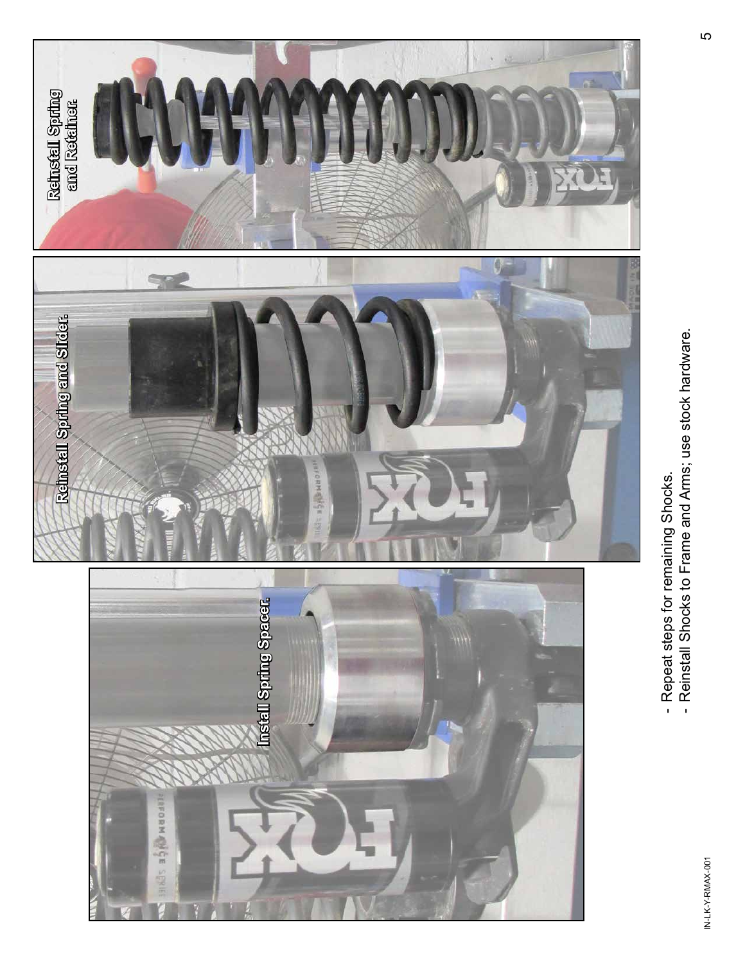

- Repeat steps for remaining Shocks.
- --Reinstall Shocks to Frame and Arms; use stock hardware.